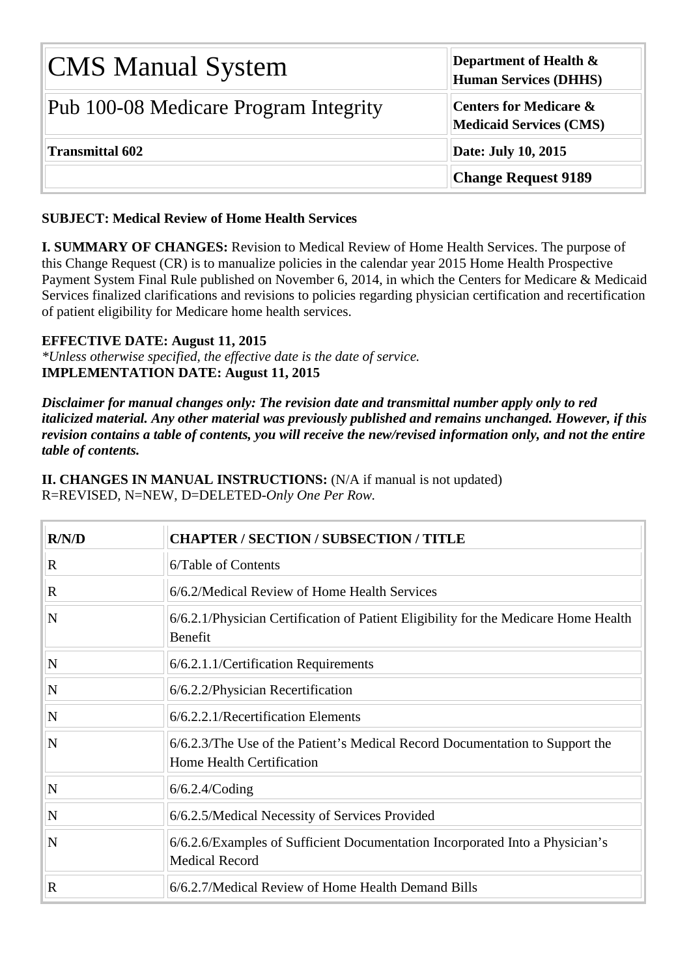| <b>CMS Manual System</b>              | Department of Health $\&$<br><b>Human Services (DHHS)</b> |  |  |  |
|---------------------------------------|-----------------------------------------------------------|--|--|--|
| Pub 100-08 Medicare Program Integrity | Centers for Medicare &<br><b>Medicaid Services (CMS)</b>  |  |  |  |
| <b>Transmittal 602</b>                | Date: July 10, 2015                                       |  |  |  |
|                                       | <b>Change Request 9189</b>                                |  |  |  |

## **SUBJECT: Medical Review of Home Health Services**

**I. SUMMARY OF CHANGES:** Revision to Medical Review of Home Health Services. The purpose of this Change Request (CR) is to manualize policies in the calendar year 2015 Home Health Prospective Payment System Final Rule published on November 6, 2014, in which the Centers for Medicare & Medicaid Services finalized clarifications and revisions to policies regarding physician certification and recertification of patient eligibility for Medicare home health services.

## **EFFECTIVE DATE: August 11, 2015**

*\*Unless otherwise specified, the effective date is the date of service.* **IMPLEMENTATION DATE: August 11, 2015**

*Disclaimer for manual changes only: The revision date and transmittal number apply only to red italicized material. Any other material was previously published and remains unchanged. However, if this revision contains a table of contents, you will receive the new/revised information only, and not the entire table of contents.*

**II. CHANGES IN MANUAL INSTRUCTIONS:** (N/A if manual is not updated) R=REVISED, N=NEW, D=DELETED-*Only One Per Row.*

| R/N/D                   | <b>CHAPTER / SECTION / SUBSECTION / TITLE</b>                                                                    |
|-------------------------|------------------------------------------------------------------------------------------------------------------|
| $\mathbf R$             | 6/Table of Contents                                                                                              |
| $\mathbf R$             | 6/6.2/Medical Review of Home Health Services                                                                     |
| $\overline{\bf N}$      | 6/6.2.1/Physician Certification of Patient Eligibility for the Medicare Home Health<br>Benefit                   |
| $\overline{\mathbf{N}}$ | 6/6.2.1.1/Certification Requirements                                                                             |
| N                       | 6/6.2.2/Physician Recertification                                                                                |
| $\overline{\bf N}$      | 6/6.2.2.1/Recertification Elements                                                                               |
| N                       | 6/6.2.3/The Use of the Patient's Medical Record Documentation to Support the<br><b>Home Health Certification</b> |
| N                       | $6/6.2.4$ /Coding                                                                                                |
| $\overline{\bf N}$      | 6/6.2.5/Medical Necessity of Services Provided                                                                   |
| $\overline{\bf N}$      | 6/6.2.6/Examples of Sufficient Documentation Incorporated Into a Physician's<br><b>Medical Record</b>            |
| $\mathbf R$             | 6/6.2.7/Medical Review of Home Health Demand Bills                                                               |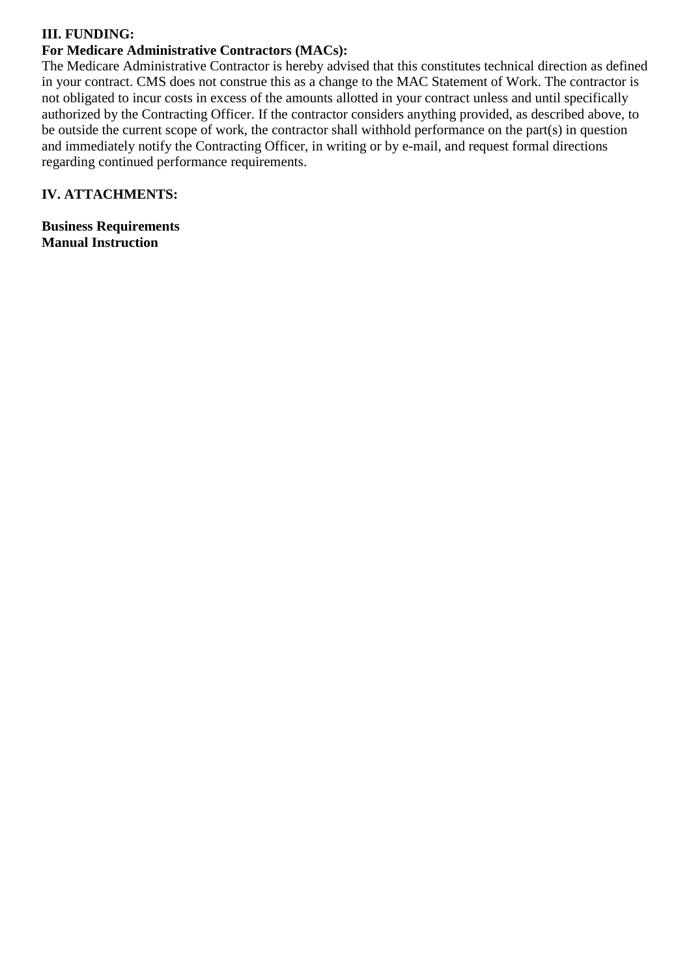## **III. FUNDING:**

# **For Medicare Administrative Contractors (MACs):**

The Medicare Administrative Contractor is hereby advised that this constitutes technical direction as defined in your contract. CMS does not construe this as a change to the MAC Statement of Work. The contractor is not obligated to incur costs in excess of the amounts allotted in your contract unless and until specifically authorized by the Contracting Officer. If the contractor considers anything provided, as described above, to be outside the current scope of work, the contractor shall withhold performance on the part(s) in question and immediately notify the Contracting Officer, in writing or by e-mail, and request formal directions regarding continued performance requirements.

# **IV. ATTACHMENTS:**

**Business Requirements Manual Instruction**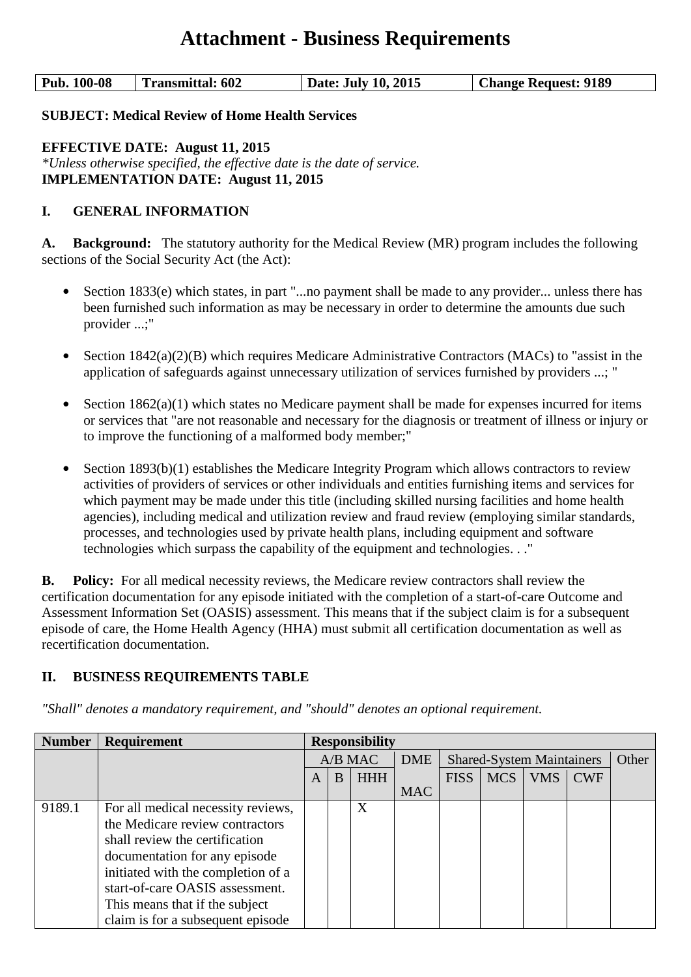# **Attachment - Business Requirements**

| <b>Pub. 100-08</b><br><b>Transmittal: 602</b> | Date: July 10, 2015 | <b>Change Request: 9189</b> |
|-----------------------------------------------|---------------------|-----------------------------|
|-----------------------------------------------|---------------------|-----------------------------|

#### **SUBJECT: Medical Review of Home Health Services**

**EFFECTIVE DATE: August 11, 2015** *\*Unless otherwise specified, the effective date is the date of service.* **IMPLEMENTATION DATE: August 11, 2015**

#### **I. GENERAL INFORMATION**

**A. Background:** The statutory authority for the Medical Review (MR) program includes the following sections of the Social Security Act (the Act):

- **•** Section 1833(e) which states, in part "...no payment shall be made to any provider... unless there has been furnished such information as may be necessary in order to determine the amounts due such provider ...;"
- **•** Section 1842(a)(2)(B) which requires Medicare Administrative Contractors (MACs) to "assist in the application of safeguards against unnecessary utilization of services furnished by providers ...; "
- **•** Section 1862(a)(1) which states no Medicare payment shall be made for expenses incurred for items or services that "are not reasonable and necessary for the diagnosis or treatment of illness or injury or to improve the functioning of a malformed body member;"
- **•** Section 1893(b)(1) establishes the Medicare Integrity Program which allows contractors to review activities of providers of services or other individuals and entities furnishing items and services for which payment may be made under this title (including skilled nursing facilities and home health agencies), including medical and utilization review and fraud review (employing similar standards, processes, and technologies used by private health plans, including equipment and software technologies which surpass the capability of the equipment and technologies. . ."

**B. Policy:** For all medical necessity reviews, the Medicare review contractors shall review the certification documentation for any episode initiated with the completion of a start-of-care Outcome and Assessment Information Set (OASIS) assessment. This means that if the subject claim is for a subsequent episode of care, the Home Health Agency (HHA) must submit all certification documentation as well as recertification documentation.

## **II. BUSINESS REQUIREMENTS TABLE**

| <b>Number</b> | <b>Requirement</b>                 | <b>Responsibility</b> |   |            |            |             |            |     |                                  |  |  |       |
|---------------|------------------------------------|-----------------------|---|------------|------------|-------------|------------|-----|----------------------------------|--|--|-------|
|               |                                    |                       |   | A/B MAC    |            | <b>DME</b>  |            |     | <b>Shared-System Maintainers</b> |  |  | Other |
|               |                                    | A                     | B | <b>HHH</b> |            | <b>FISS</b> | <b>MCS</b> | VMS | <b>CWF</b>                       |  |  |       |
|               |                                    |                       |   |            | <b>MAC</b> |             |            |     |                                  |  |  |       |
| 9189.1        | For all medical necessity reviews, |                       |   | X          |            |             |            |     |                                  |  |  |       |
|               | the Medicare review contractors    |                       |   |            |            |             |            |     |                                  |  |  |       |
|               | shall review the certification     |                       |   |            |            |             |            |     |                                  |  |  |       |
|               | documentation for any episode      |                       |   |            |            |             |            |     |                                  |  |  |       |
|               | initiated with the completion of a |                       |   |            |            |             |            |     |                                  |  |  |       |
|               | start-of-care OASIS assessment.    |                       |   |            |            |             |            |     |                                  |  |  |       |
|               | This means that if the subject     |                       |   |            |            |             |            |     |                                  |  |  |       |
|               | claim is for a subsequent episode  |                       |   |            |            |             |            |     |                                  |  |  |       |

*"Shall" denotes a mandatory requirement, and "should" denotes an optional requirement.*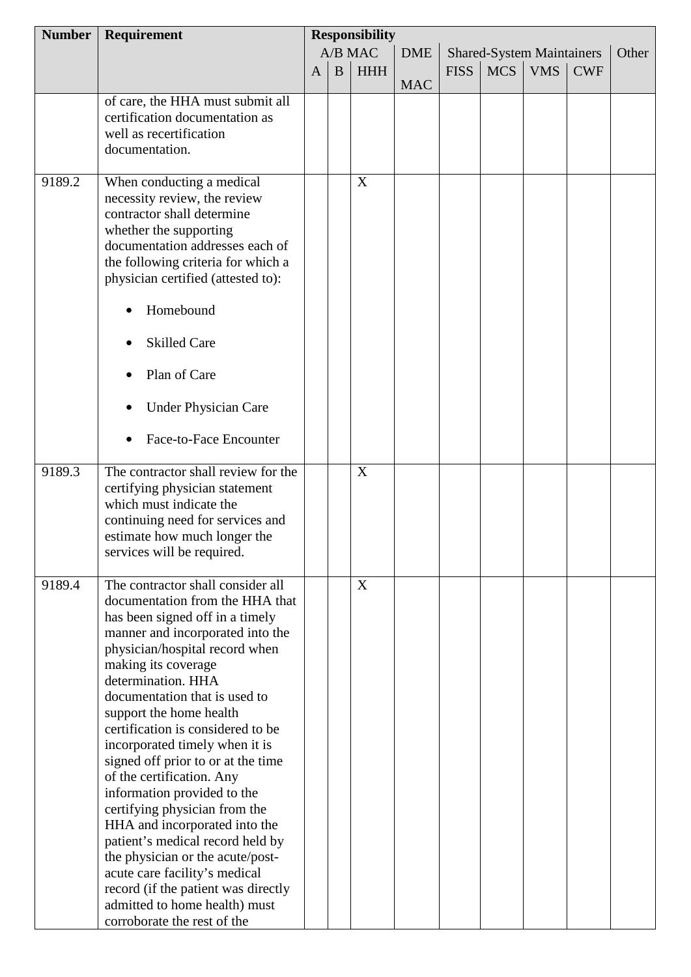| <b>Number</b> | Requirement                                                  | <b>Responsibility</b>                                     |          |            |            |             |            |            |            |  |
|---------------|--------------------------------------------------------------|-----------------------------------------------------------|----------|------------|------------|-------------|------------|------------|------------|--|
|               |                                                              | A/B MAC<br><b>DME</b><br><b>Shared-System Maintainers</b> |          |            |            |             | Other      |            |            |  |
|               |                                                              | $\mathbf{A}$                                              | $\bf{B}$ | <b>HHH</b> |            | <b>FISS</b> | <b>MCS</b> | <b>VMS</b> | <b>CWF</b> |  |
|               |                                                              |                                                           |          |            | <b>MAC</b> |             |            |            |            |  |
|               | of care, the HHA must submit all                             |                                                           |          |            |            |             |            |            |            |  |
|               | certification documentation as                               |                                                           |          |            |            |             |            |            |            |  |
|               | well as recertification                                      |                                                           |          |            |            |             |            |            |            |  |
|               | documentation.                                               |                                                           |          |            |            |             |            |            |            |  |
|               |                                                              |                                                           |          |            |            |             |            |            |            |  |
| 9189.2        | When conducting a medical                                    |                                                           |          | X          |            |             |            |            |            |  |
|               | necessity review, the review                                 |                                                           |          |            |            |             |            |            |            |  |
|               | contractor shall determine                                   |                                                           |          |            |            |             |            |            |            |  |
|               | whether the supporting                                       |                                                           |          |            |            |             |            |            |            |  |
|               | documentation addresses each of                              |                                                           |          |            |            |             |            |            |            |  |
|               | the following criteria for which a                           |                                                           |          |            |            |             |            |            |            |  |
|               | physician certified (attested to):                           |                                                           |          |            |            |             |            |            |            |  |
|               | Homebound                                                    |                                                           |          |            |            |             |            |            |            |  |
|               | <b>Skilled Care</b>                                          |                                                           |          |            |            |             |            |            |            |  |
|               | Plan of Care                                                 |                                                           |          |            |            |             |            |            |            |  |
|               | <b>Under Physician Care</b>                                  |                                                           |          |            |            |             |            |            |            |  |
|               | Face-to-Face Encounter                                       |                                                           |          |            |            |             |            |            |            |  |
| 9189.3        | The contractor shall review for the                          |                                                           |          | X          |            |             |            |            |            |  |
|               | certifying physician statement                               |                                                           |          |            |            |             |            |            |            |  |
|               | which must indicate the                                      |                                                           |          |            |            |             |            |            |            |  |
|               | continuing need for services and                             |                                                           |          |            |            |             |            |            |            |  |
|               | estimate how much longer the                                 |                                                           |          |            |            |             |            |            |            |  |
|               | services will be required.                                   |                                                           |          |            |            |             |            |            |            |  |
| 9189.4        | The contractor shall consider all                            |                                                           |          | X          |            |             |            |            |            |  |
|               | documentation from the HHA that                              |                                                           |          |            |            |             |            |            |            |  |
|               | has been signed off in a timely                              |                                                           |          |            |            |             |            |            |            |  |
|               | manner and incorporated into the                             |                                                           |          |            |            |             |            |            |            |  |
|               | physician/hospital record when                               |                                                           |          |            |            |             |            |            |            |  |
|               | making its coverage                                          |                                                           |          |            |            |             |            |            |            |  |
|               | determination. HHA                                           |                                                           |          |            |            |             |            |            |            |  |
|               | documentation that is used to                                |                                                           |          |            |            |             |            |            |            |  |
|               | support the home health<br>certification is considered to be |                                                           |          |            |            |             |            |            |            |  |
|               | incorporated timely when it is                               |                                                           |          |            |            |             |            |            |            |  |
|               | signed off prior to or at the time                           |                                                           |          |            |            |             |            |            |            |  |
|               | of the certification. Any                                    |                                                           |          |            |            |             |            |            |            |  |
|               | information provided to the                                  |                                                           |          |            |            |             |            |            |            |  |
|               | certifying physician from the                                |                                                           |          |            |            |             |            |            |            |  |
|               | HHA and incorporated into the                                |                                                           |          |            |            |             |            |            |            |  |
|               | patient's medical record held by                             |                                                           |          |            |            |             |            |            |            |  |
|               | the physician or the acute/post-                             |                                                           |          |            |            |             |            |            |            |  |
|               | acute care facility's medical                                |                                                           |          |            |            |             |            |            |            |  |
|               | record (if the patient was directly                          |                                                           |          |            |            |             |            |            |            |  |
|               | admitted to home health) must                                |                                                           |          |            |            |             |            |            |            |  |
|               | corroborate the rest of the                                  |                                                           |          |            |            |             |            |            |            |  |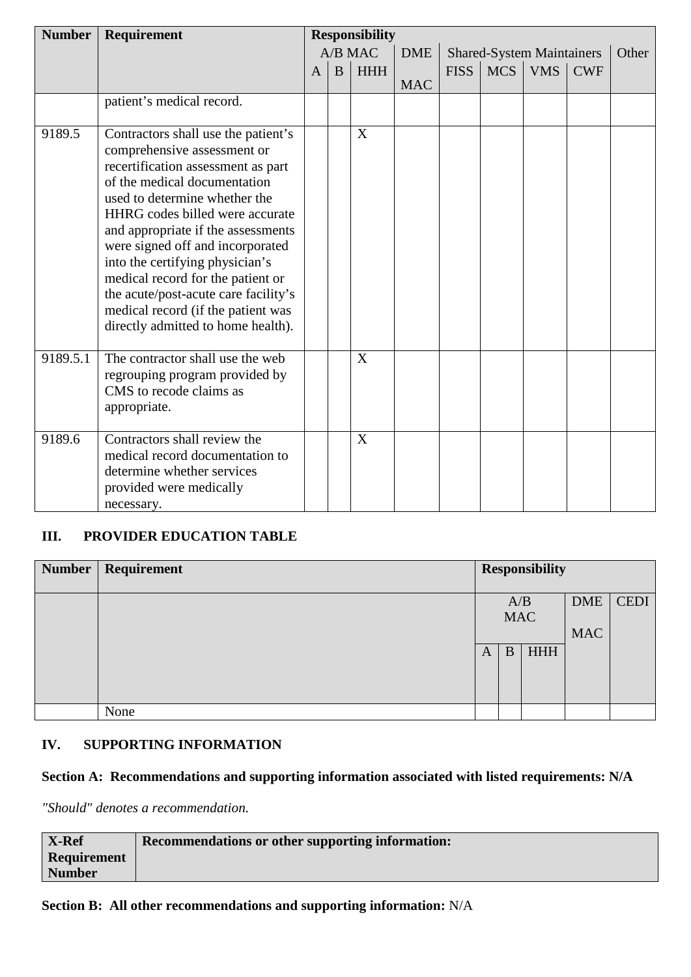| <b>Number</b> | Requirement                                                                                                                                                                                                                                                                                                                                                                                                                                                                        | <b>Responsibility</b> |   |            |            |             |            |                                  |            |       |
|---------------|------------------------------------------------------------------------------------------------------------------------------------------------------------------------------------------------------------------------------------------------------------------------------------------------------------------------------------------------------------------------------------------------------------------------------------------------------------------------------------|-----------------------|---|------------|------------|-------------|------------|----------------------------------|------------|-------|
|               |                                                                                                                                                                                                                                                                                                                                                                                                                                                                                    |                       |   | $A/B$ MAC  | <b>DME</b> |             |            | <b>Shared-System Maintainers</b> |            | Other |
|               |                                                                                                                                                                                                                                                                                                                                                                                                                                                                                    | A                     | B | <b>HHH</b> | <b>MAC</b> | <b>FISS</b> | <b>MCS</b> | <b>VMS</b>                       | <b>CWF</b> |       |
|               | patient's medical record.                                                                                                                                                                                                                                                                                                                                                                                                                                                          |                       |   |            |            |             |            |                                  |            |       |
| 9189.5        | Contractors shall use the patient's<br>comprehensive assessment or<br>recertification assessment as part<br>of the medical documentation<br>used to determine whether the<br>HHRG codes billed were accurate<br>and appropriate if the assessments<br>were signed off and incorporated<br>into the certifying physician's<br>medical record for the patient or<br>the acute/post-acute care facility's<br>medical record (if the patient was<br>directly admitted to home health). |                       |   | X          |            |             |            |                                  |            |       |
| 9189.5.1      | The contractor shall use the web<br>regrouping program provided by<br>CMS to recode claims as<br>appropriate.                                                                                                                                                                                                                                                                                                                                                                      |                       |   | X          |            |             |            |                                  |            |       |
| 9189.6        | Contractors shall review the<br>medical record documentation to<br>determine whether services<br>provided were medically<br>necessary.                                                                                                                                                                                                                                                                                                                                             |                       |   | X          |            |             |            |                                  |            |       |

# **III. PROVIDER EDUCATION TABLE**

| <b>Number</b> | Requirement |   |            | <b>Responsibility</b> |            |             |
|---------------|-------------|---|------------|-----------------------|------------|-------------|
|               |             |   | A/B        |                       | <b>DME</b> | <b>CEDI</b> |
|               |             |   | <b>MAC</b> |                       |            |             |
|               |             |   |            |                       | <b>MAC</b> |             |
|               |             | A | B          | <b>HHH</b>            |            |             |
|               |             |   |            |                       |            |             |
|               | None        |   |            |                       |            |             |

# **IV. SUPPORTING INFORMATION**

# **Section A: Recommendations and supporting information associated with listed requirements: N/A**

*"Should" denotes a recommendation.*

| <b>X-Ref</b>       | <b>Recommendations or other supporting information:</b> |
|--------------------|---------------------------------------------------------|
| <b>Requirement</b> |                                                         |
| <b>Number</b>      |                                                         |

## **Section B: All other recommendations and supporting information:** N/A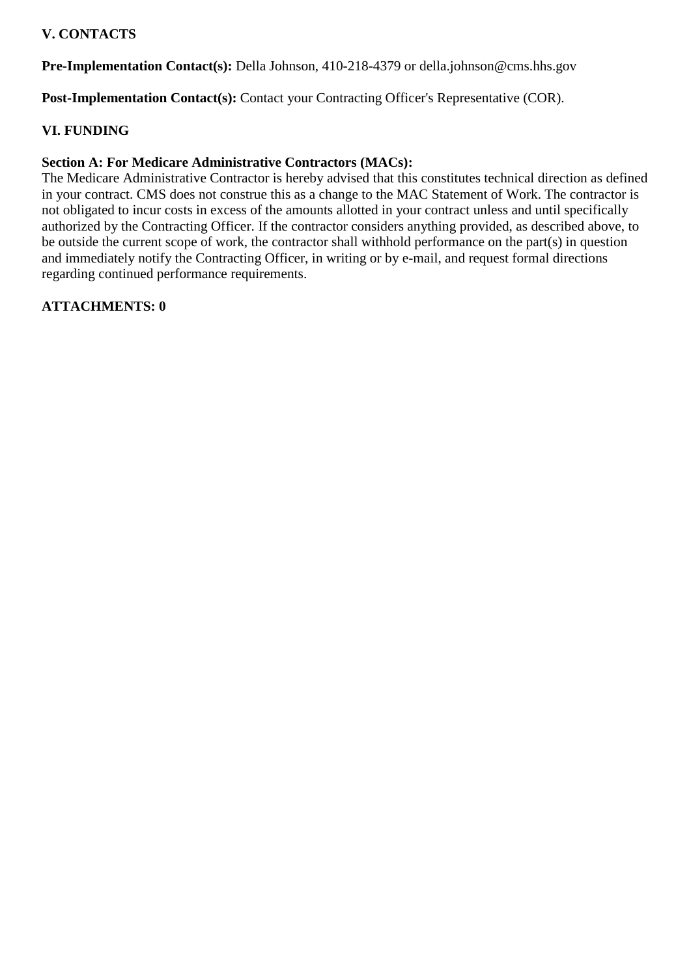# **V. CONTACTS**

**Pre-Implementation Contact(s):** Della Johnson, 410-218-4379 or della.johnson@cms.hhs.gov

Post-Implementation Contact(s): Contact your Contracting Officer's Representative (COR).

## **VI. FUNDING**

## **Section A: For Medicare Administrative Contractors (MACs):**

The Medicare Administrative Contractor is hereby advised that this constitutes technical direction as defined in your contract. CMS does not construe this as a change to the MAC Statement of Work. The contractor is not obligated to incur costs in excess of the amounts allotted in your contract unless and until specifically authorized by the Contracting Officer. If the contractor considers anything provided, as described above, to be outside the current scope of work, the contractor shall withhold performance on the part(s) in question and immediately notify the Contracting Officer, in writing or by e-mail, and request formal directions regarding continued performance requirements.

## **ATTACHMENTS: 0**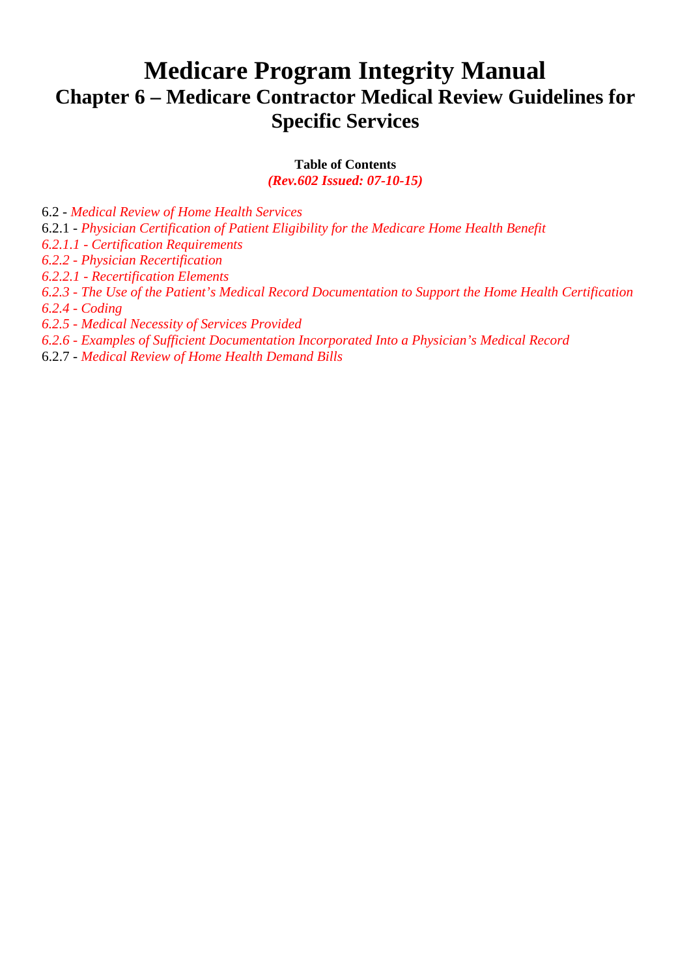# **Medicare Program Integrity Manual Chapter 6 – Medicare Contractor Medical Review Guidelines for Specific Services**

**Table of Contents**

*(Rev.602 Issued: 07-10-15)*

6.2 - *Medical Review of Home Health Services* 6.2.1 - *Physician Certification of Patient Eligibility for the Medicare Home Health Benefit 6.2.1.1 - Certification Requirements 6.2.2 - Physician Recertification 6.2.2.1 - Recertification Elements 6.2.3 - The Use of the Patient's Medical Record Documentation to Support the Home Health Certification 6.2.4 - Coding 6.2.5 - Medical Necessity of Services Provided 6.2.6 - Examples of Sufficient Documentation Incorporated Into a Physician's Medical Record*

6.2.7 - *Medical Review of Home Health Demand Bills*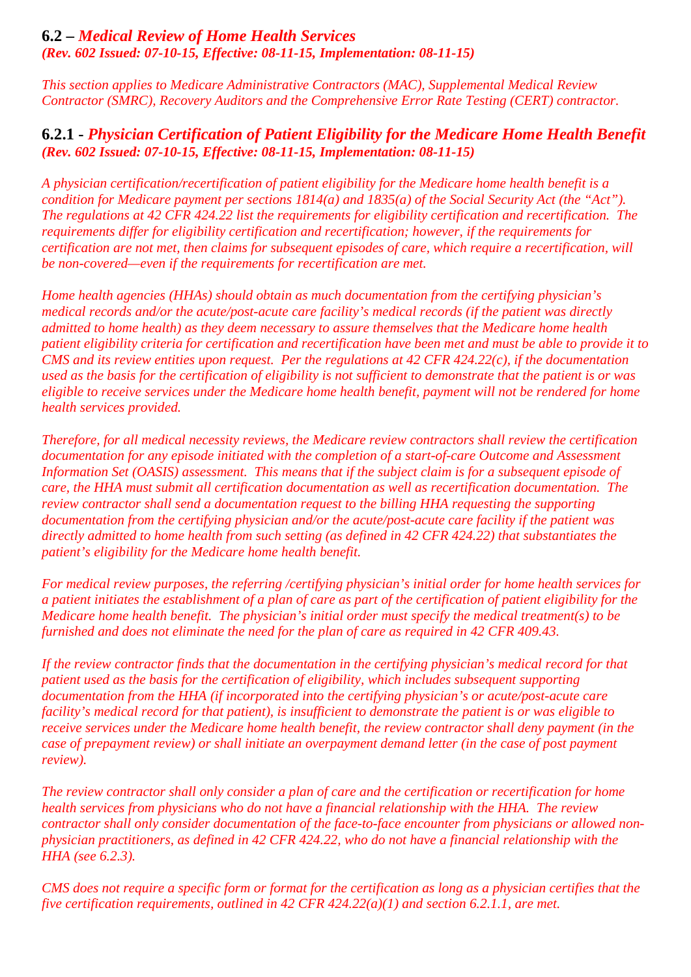# **6.2 –** *Medical Review of Home Health Services (Rev. 602 Issued: 07-10-15, Effective: 08-11-15, Implementation: 08-11-15)*

*This section applies to Medicare Administrative Contractors (MAC), Supplemental Medical Review Contractor (SMRC), Recovery Auditors and the Comprehensive Error Rate Testing (CERT) contractor.*

# **6.2.1 -** *Physician Certification of Patient Eligibility for the Medicare Home Health Benefit (Rev. 602 Issued: 07-10-15, Effective: 08-11-15, Implementation: 08-11-15)*

*A physician certification/recertification of patient eligibility for the Medicare home health benefit is a condition for Medicare payment per sections 1814(a) and 1835(a) of the Social Security Act (the "Act"). The regulations at 42 CFR 424.22 list the requirements for eligibility certification and recertification. The requirements differ for eligibility certification and recertification; however, if the requirements for certification are not met, then claims for subsequent episodes of care, which require a recertification, will be non-covered—even if the requirements for recertification are met.*

*Home health agencies (HHAs) should obtain as much documentation from the certifying physician's medical records and/or the acute/post-acute care facility's medical records (if the patient was directly admitted to home health) as they deem necessary to assure themselves that the Medicare home health patient eligibility criteria for certification and recertification have been met and must be able to provide it to CMS and its review entities upon request. Per the regulations at 42 CFR 424.22(c), if the documentation used as the basis for the certification of eligibility is not sufficient to demonstrate that the patient is or was eligible to receive services under the Medicare home health benefit, payment will not be rendered for home health services provided.*

*Therefore, for all medical necessity reviews, the Medicare review contractors shall review the certification documentation for any episode initiated with the completion of a start-of-care Outcome and Assessment Information Set (OASIS) assessment. This means that if the subject claim is for a subsequent episode of care, the HHA must submit all certification documentation as well as recertification documentation. The review contractor shall send a documentation request to the billing HHA requesting the supporting documentation from the certifying physician and/or the acute/post-acute care facility if the patient was directly admitted to home health from such setting (as defined in 42 CFR 424.22) that substantiates the patient's eligibility for the Medicare home health benefit.*

*For medical review purposes, the referring /certifying physician's initial order for home health services for a patient initiates the establishment of a plan of care as part of the certification of patient eligibility for the Medicare home health benefit. The physician's initial order must specify the medical treatment(s) to be furnished and does not eliminate the need for the plan of care as required in 42 CFR 409.43.*

*If the review contractor finds that the documentation in the certifying physician's medical record for that patient used as the basis for the certification of eligibility, which includes subsequent supporting documentation from the HHA (if incorporated into the certifying physician's or acute/post-acute care facility's medical record for that patient), is insufficient to demonstrate the patient is or was eligible to receive services under the Medicare home health benefit, the review contractor shall deny payment (in the case of prepayment review) or shall initiate an overpayment demand letter (in the case of post payment review).*

*The review contractor shall only consider a plan of care and the certification or recertification for home health services from physicians who do not have a financial relationship with the HHA. The review contractor shall only consider documentation of the face-to-face encounter from physicians or allowed nonphysician practitioners, as defined in 42 CFR 424.22, who do not have a financial relationship with the HHA (see 6.2.3).*

*CMS does not require a specific form or format for the certification as long as a physician certifies that the five certification requirements, outlined in 42 CFR 424.22(a)(1) and section 6.2.1.1, are met.*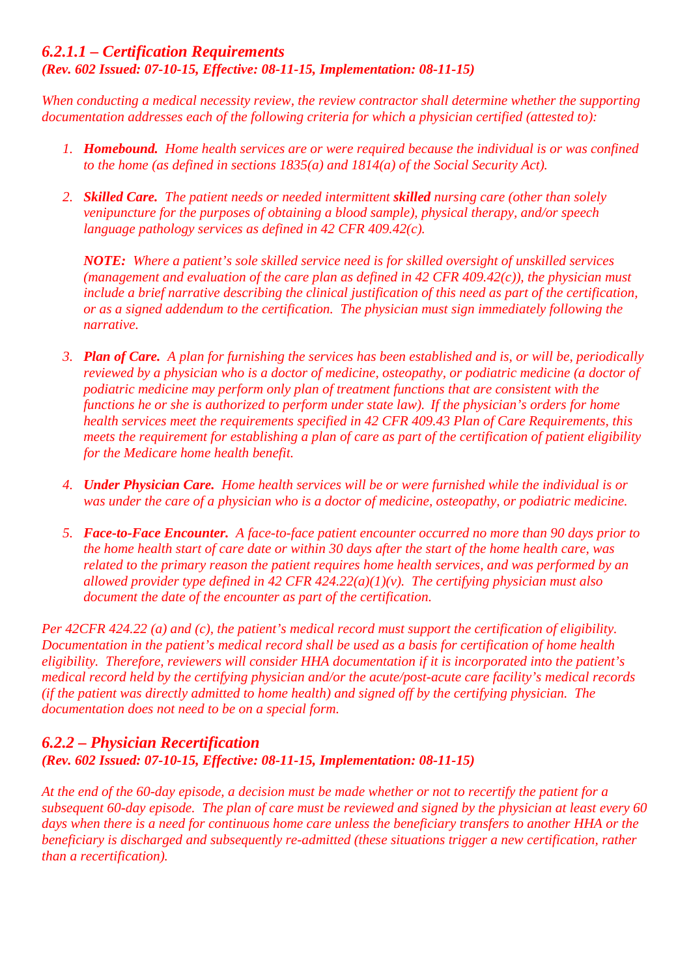## *6.2.1.1 – Certification Requirements (Rev. 602 Issued: 07-10-15, Effective: 08-11-15, Implementation: 08-11-15)*

*When conducting a medical necessity review, the review contractor shall determine whether the supporting documentation addresses each of the following criteria for which a physician certified (attested to):*

- *1. Homebound. Home health services are or were required because the individual is or was confined to the home (as defined in sections 1835(a) and 1814(a) of the Social Security Act).*
- *2. Skilled Care. The patient needs or needed intermittent skilled nursing care (other than solely venipuncture for the purposes of obtaining a blood sample), physical therapy, and/or speech language pathology services as defined in 42 CFR 409.42(c).*

*NOTE: Where a patient's sole skilled service need is for skilled oversight of unskilled services (management and evaluation of the care plan as defined in 42 CFR 409.42(c)), the physician must include a brief narrative describing the clinical justification of this need as part of the certification, or as a signed addendum to the certification. The physician must sign immediately following the narrative.*

- *3. Plan of Care. A plan for furnishing the services has been established and is, or will be, periodically reviewed by a physician who is a doctor of medicine, osteopathy, or podiatric medicine (a doctor of podiatric medicine may perform only plan of treatment functions that are consistent with the functions he or she is authorized to perform under state law). If the physician's orders for home health services meet the requirements specified in 42 CFR 409.43 Plan of Care Requirements, this meets the requirement for establishing a plan of care as part of the certification of patient eligibility for the Medicare home health benefit.*
- *4. Under Physician Care. Home health services will be or were furnished while the individual is or was under the care of a physician who is a doctor of medicine, osteopathy, or podiatric medicine.*
- *5. Face-to-Face Encounter. A face-to-face patient encounter occurred no more than 90 days prior to the home health start of care date or within 30 days after the start of the home health care, was related to the primary reason the patient requires home health services, and was performed by an allowed provider type defined in 42 CFR 424.22(a)(1)(v). The certifying physician must also document the date of the encounter as part of the certification.*

*Per 42CFR 424.22 (a) and (c), the patient's medical record must support the certification of eligibility. Documentation in the patient's medical record shall be used as a basis for certification of home health eligibility. Therefore, reviewers will consider HHA documentation if it is incorporated into the patient's medical record held by the certifying physician and/or the acute/post-acute care facility's medical records (if the patient was directly admitted to home health) and signed off by the certifying physician. The documentation does not need to be on a special form.*

# *6.2.2 – Physician Recertification (Rev. 602 Issued: 07-10-15, Effective: 08-11-15, Implementation: 08-11-15)*

*At the end of the 60-day episode, a decision must be made whether or not to recertify the patient for a subsequent 60-day episode. The plan of care must be reviewed and signed by the physician at least every 60 days when there is a need for continuous home care unless the beneficiary transfers to another HHA or the beneficiary is discharged and subsequently re-admitted (these situations trigger a new certification, rather than a recertification).*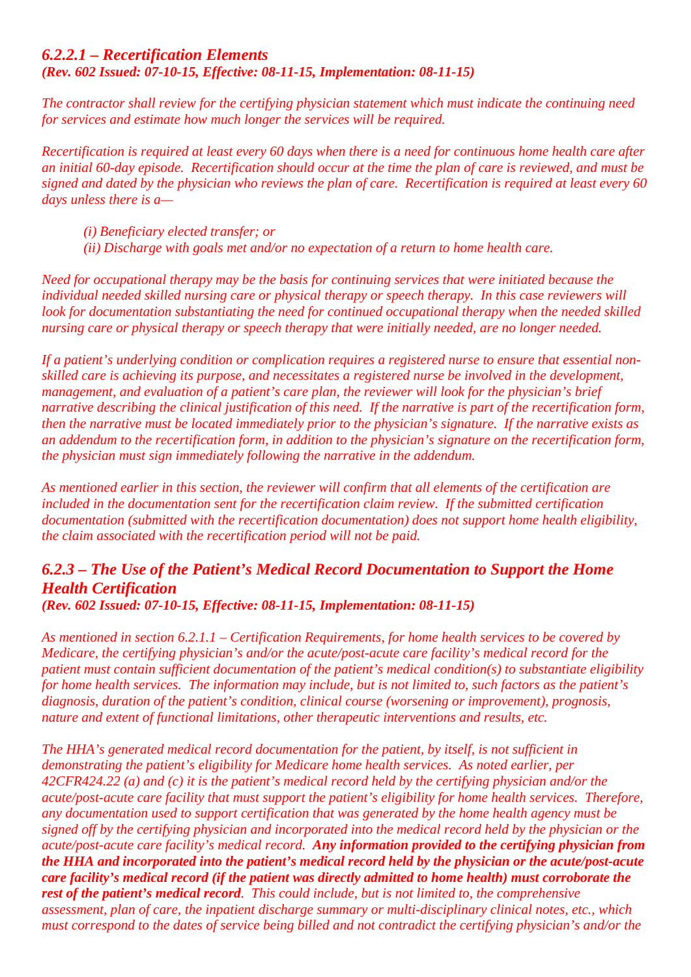## *6.2.2.1 – Recertification Elements (Rev. 602 Issued: 07-10-15, Effective: 08-11-15, Implementation: 08-11-15)*

*The contractor shall review for the certifying physician statement which must indicate the continuing need for services and estimate how much longer the services will be required.*

*Recertification is required at least every 60 days when there is a need for continuous home health care after an initial 60-day episode. Recertification should occur at the time the plan of care is reviewed, and must be signed and dated by the physician who reviews the plan of care. Recertification is required at least every 60 days unless there is a—*

- *(i) Beneficiary elected transfer; or*
- *(ii) Discharge with goals met and/or no expectation of a return to home health care.*

*Need for occupational therapy may be the basis for continuing services that were initiated because the individual needed skilled nursing care or physical therapy or speech therapy. In this case reviewers will look for documentation substantiating the need for continued occupational therapy when the needed skilled nursing care or physical therapy or speech therapy that were initially needed, are no longer needed.*

*If a patient's underlying condition or complication requires a registered nurse to ensure that essential nonskilled care is achieving its purpose, and necessitates a registered nurse be involved in the development, management, and evaluation of a patient's care plan, the reviewer will look for the physician's brief narrative describing the clinical justification of this need. If the narrative is part of the recertification form, then the narrative must be located immediately prior to the physician's signature. If the narrative exists as an addendum to the recertification form, in addition to the physician's signature on the recertification form, the physician must sign immediately following the narrative in the addendum.*

*As mentioned earlier in this section, the reviewer will confirm that all elements of the certification are included in the documentation sent for the recertification claim review. If the submitted certification documentation (submitted with the recertification documentation) does not support home health eligibility, the claim associated with the recertification period will not be paid.*

## *6.2.3 – The Use of the Patient's Medical Record Documentation to Support the Home Health Certification (Rev. 602 Issued: 07-10-15, Effective: 08-11-15, Implementation: 08-11-15)*

*As mentioned in section 6.2.1.1 – Certification Requirements, for home health services to be covered by* 

*Medicare, the certifying physician's and/or the acute/post-acute care facility's medical record for the patient must contain sufficient documentation of the patient's medical condition(s) to substantiate eligibility for home health services. The information may include, but is not limited to, such factors as the patient's diagnosis, duration of the patient's condition, clinical course (worsening or improvement), prognosis, nature and extent of functional limitations, other therapeutic interventions and results, etc.*

*The HHA's generated medical record documentation for the patient, by itself, is not sufficient in demonstrating the patient's eligibility for Medicare home health services. As noted earlier, per 42CFR424.22 (a) and (c) it is the patient's medical record held by the certifying physician and/or the acute/post-acute care facility that must support the patient's eligibility for home health services. Therefore, any documentation used to support certification that was generated by the home health agency must be signed off by the certifying physician and incorporated into the medical record held by the physician or the acute/post-acute care facility's medical record. Any information provided to the certifying physician from the HHA and incorporated into the patient's medical record held by the physician or the acute/post-acute care facility's medical record (if the patient was directly admitted to home health) must corroborate the rest of the patient's medical record. This could include, but is not limited to, the comprehensive assessment, plan of care, the inpatient discharge summary or multi-disciplinary clinical notes, etc., which must correspond to the dates of service being billed and not contradict the certifying physician's and/or the*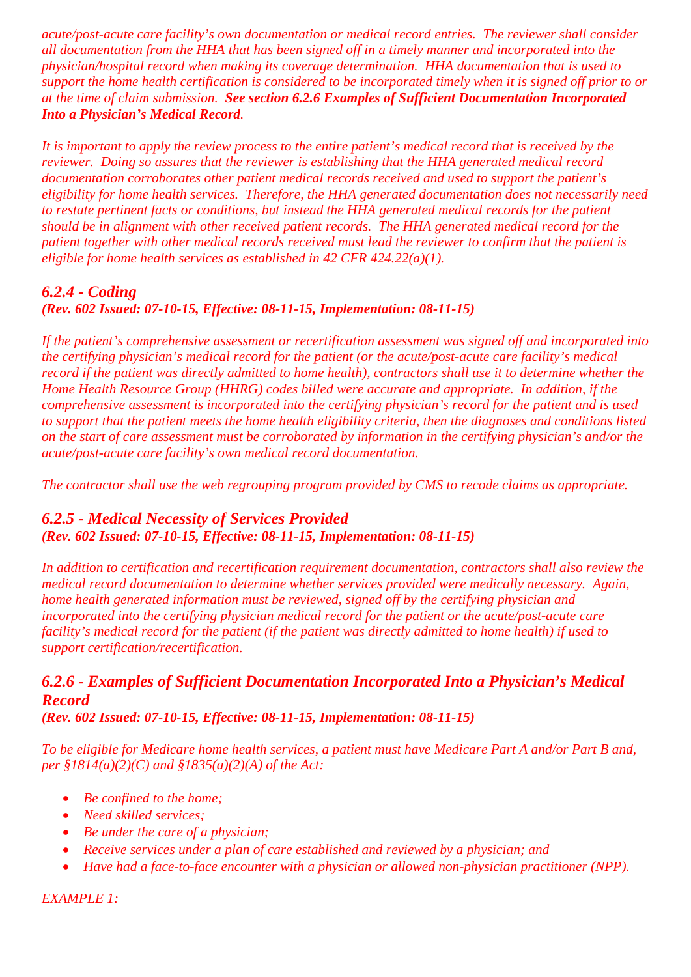*acute/post-acute care facility's own documentation or medical record entries. The reviewer shall consider all documentation from the HHA that has been signed off in a timely manner and incorporated into the physician/hospital record when making its coverage determination. HHA documentation that is used to support the home health certification is considered to be incorporated timely when it is signed off prior to or at the time of claim submission. See section 6.2.6 Examples of Sufficient Documentation Incorporated Into a Physician's Medical Record.*

*It is important to apply the review process to the entire patient's medical record that is received by the reviewer. Doing so assures that the reviewer is establishing that the HHA generated medical record documentation corroborates other patient medical records received and used to support the patient's eligibility for home health services. Therefore, the HHA generated documentation does not necessarily need to restate pertinent facts or conditions, but instead the HHA generated medical records for the patient should be in alignment with other received patient records. The HHA generated medical record for the patient together with other medical records received must lead the reviewer to confirm that the patient is eligible for home health services as established in 42 CFR 424.22(a)(1).*

# *6.2.4 - Coding*

## *(Rev. 602 Issued: 07-10-15, Effective: 08-11-15, Implementation: 08-11-15)*

*If the patient's comprehensive assessment or recertification assessment was signed off and incorporated into the certifying physician's medical record for the patient (or the acute/post-acute care facility's medical record if the patient was directly admitted to home health), contractors shall use it to determine whether the Home Health Resource Group (HHRG) codes billed were accurate and appropriate. In addition, if the comprehensive assessment is incorporated into the certifying physician's record for the patient and is used to support that the patient meets the home health eligibility criteria, then the diagnoses and conditions listed on the start of care assessment must be corroborated by information in the certifying physician's and/or the acute/post-acute care facility's own medical record documentation.*

*The contractor shall use the web regrouping program provided by CMS to recode claims as appropriate.*

# *6.2.5 - Medical Necessity of Services Provided (Rev. 602 Issued: 07-10-15, Effective: 08-11-15, Implementation: 08-11-15)*

*In addition to certification and recertification requirement documentation, contractors shall also review the medical record documentation to determine whether services provided were medically necessary. Again, home health generated information must be reviewed, signed off by the certifying physician and incorporated into the certifying physician medical record for the patient or the acute/post-acute care facility's medical record for the patient (if the patient was directly admitted to home health) if used to support certification/recertification.*

# *6.2.6 - Examples of Sufficient Documentation Incorporated Into a Physician's Medical Record*

*(Rev. 602 Issued: 07-10-15, Effective: 08-11-15, Implementation: 08-11-15)*

*To be eligible for Medicare home health services, a patient must have Medicare Part A and/or Part B and, per §1814(a)(2)(C) and §1835(a)(2)(A) of the Act:*

- *Be confined to the home;*
- *Need skilled services;*
- *Be under the care of a physician;*
- *Receive services under a plan of care established and reviewed by a physician; and*
- *Have had a face-to-face encounter with a physician or allowed non-physician practitioner (NPP).*

*EXAMPLE 1:*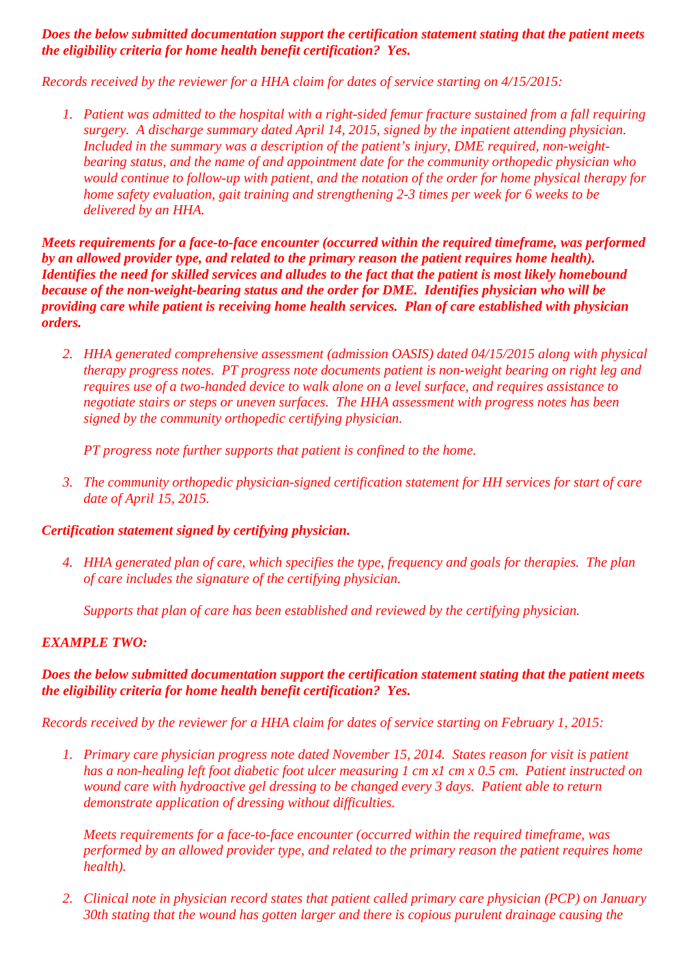#### *Does the below submitted documentation support the certification statement stating that the patient meets the eligibility criteria for home health benefit certification? Yes.*

*Records received by the reviewer for a HHA claim for dates of service starting on 4/15/2015:*

*1. Patient was admitted to the hospital with a right-sided femur fracture sustained from a fall requiring surgery. A discharge summary dated April 14, 2015, signed by the inpatient attending physician. Included in the summary was a description of the patient's injury, DME required, non-weightbearing status, and the name of and appointment date for the community orthopedic physician who would continue to follow-up with patient, and the notation of the order for home physical therapy for home safety evaluation, gait training and strengthening 2-3 times per week for 6 weeks to be delivered by an HHA.*

*Meets requirements for a face-to-face encounter (occurred within the required timeframe, was performed by an allowed provider type, and related to the primary reason the patient requires home health). Identifies the need for skilled services and alludes to the fact that the patient is most likely homebound because of the non-weight-bearing status and the order for DME. Identifies physician who will be providing care while patient is receiving home health services. Plan of care established with physician orders.*

*2. HHA generated comprehensive assessment (admission OASIS) dated 04/15/2015 along with physical therapy progress notes. PT progress note documents patient is non-weight bearing on right leg and requires use of a two-handed device to walk alone on a level surface, and requires assistance to negotiate stairs or steps or uneven surfaces. The HHA assessment with progress notes has been signed by the community orthopedic certifying physician.*

*PT progress note further supports that patient is confined to the home.*

*3. The community orthopedic physician-signed certification statement for HH services for start of care date of April 15, 2015.*

## *Certification statement signed by certifying physician.*

*4. HHA generated plan of care, which specifies the type, frequency and goals for therapies. The plan of care includes the signature of the certifying physician.*

*Supports that plan of care has been established and reviewed by the certifying physician.*

## *EXAMPLE TWO:*

#### *Does the below submitted documentation support the certification statement stating that the patient meets the eligibility criteria for home health benefit certification? Yes.*

*Records received by the reviewer for a HHA claim for dates of service starting on February 1, 2015:*

*1. Primary care physician progress note dated November 15, 2014. States reason for visit is patient has a non-healing left foot diabetic foot ulcer measuring 1 cm x1 cm x 0.5 cm. Patient instructed on wound care with hydroactive gel dressing to be changed every 3 days. Patient able to return demonstrate application of dressing without difficulties.* 

*Meets requirements for a face-to-face encounter (occurred within the required timeframe, was performed by an allowed provider type, and related to the primary reason the patient requires home health).*

*2. Clinical note in physician record states that patient called primary care physician (PCP) on January 30th stating that the wound has gotten larger and there is copious purulent drainage causing the*